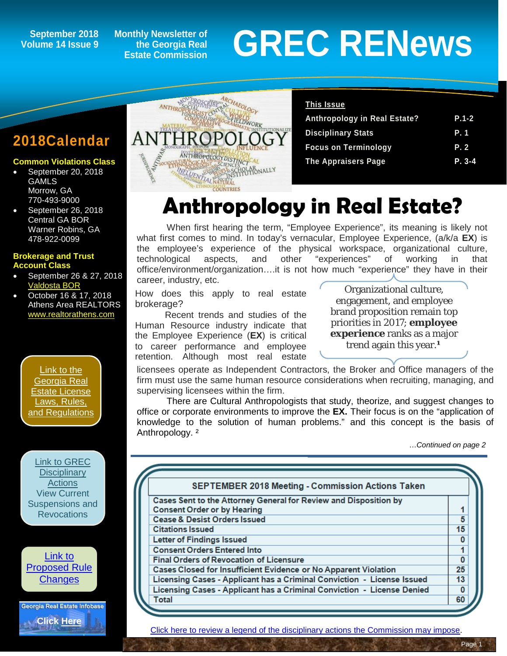## **Volume 14 Issue 9**

**Monthly Newsletter of the Georgia Real Estate Commission**

# September 2018 Monthly Newsletter of<br>Dlume 14 Issue 9 Estate Commission Estate Commission

### **2018Calendar**

### **Common Violations Class**

- September 20, 2018 **GAMLS** Morrow, GA 770-493-9000
- September 26, 2018 Central GA BOR Warner Robins, GA 478-922-0099

### **Brokerage and Trust Account Class**

- September 26 & 27, 2018 [Valdosta BOR](http://www.valdostaboardofrealtors.com/)
- October 16 & 17, 2018 Athens Area REALTORS [www.realtorathens.com](http://www.realtorathens.com/)

[Link to the](http://www.grec.state.ga.us/about/relaw.html)  [Georgia Real](http://www.grec.state.ga.us/about/relaw.html)  [Estate License](http://www.grec.state.ga.us/about/relaw.html)  [Laws, Rules,](http://www.grec.state.ga.us/about/relaw.html)  [and Regulations](http://www.grec.state.ga.us/about/relaw.html)



[Link to](http://www.grec.state.ga.us/about/reproposed.html)  [Proposed Rule](http://www.grec.state.ga.us/about/reproposed.html)  **[Changes](http://www.grec.state.ga.us/about/reproposed.html)** 

Georgia Real Estate Infobase

**[Click Here](https://www.grec.state.ga.us/infobase/infobase.html)**



### **This Issue Anthropology in Real Estate? P.1-2 Disciplinary Stats P. 1 Focus on Terminology P. 2 The Appraisers Page P. 3-4**

## **Anthropology in Real Estate?**

When first hearing the term, "Employee Experience", its meaning is likely not what first comes to mind. In today's vernacular, Employee Experience, (a/k/a **EX**) is the employee's experience of the physical workspace, organizational culture, technological aspects, and other "experiences" of working in that office/environment/organization….it is not how much "experience" they have in their career, industry, etc.

How does this apply to real estate brokerage?

Recent trends and studies of the Human Resource industry indicate that the Employee Experience (**EX**) is critical to career performance and employee retention. Although most real estate

Organizational culture, engagement, and employee brand proposition remain top priorities in 2017; **employee experience** ranks as a major trend again this year.<sup>1</sup>

licensees operate as Independent Contractors, the Broker and Office managers of the firm must use the same human resource considerations when recruiting, managing, and supervising licensees within the firm.

There are Cultural Anthropologists that study, theorize, and suggest changes to office or corporate environments to improve the **EX.** Their focus is on the "application of knowledge to the solution of human problems." and this concept is the basis of Anthropology. ²

…*Continued on page 2*

| <b>SEPTEMBER 2018 Meeting - Commission Actions Taken</b>               |                         |
|------------------------------------------------------------------------|-------------------------|
| Cases Sent to the Attorney General for Review and Disposition by       |                         |
| <b>Consent Order or by Hearing</b>                                     |                         |
| <b>Cease &amp; Desist Orders Issued</b>                                | $\overline{5}$          |
| <b>Citations Issued</b>                                                | 15                      |
| <b>Letter of Findings Issued</b>                                       | $\mathbf{0}$            |
| <b>Consent Orders Entered Into</b>                                     |                         |
| <b>Final Orders of Revocation of Licensure</b>                         | $\overline{\mathbf{0}}$ |
| Cases Closed for Insufficient Evidence or No Apparent Violation        | 25                      |
| Licensing Cases - Applicant has a Criminal Conviction - License Issued | 13                      |
| Licensing Cases - Applicant has a Criminal Conviction - License Denied | 0                       |
| Total                                                                  | 60                      |

[Click here to review a legend of the disciplinary actions the Commission may impose.](https://www.jmre.com/grec/GRECDisciplinaryTools.pdf)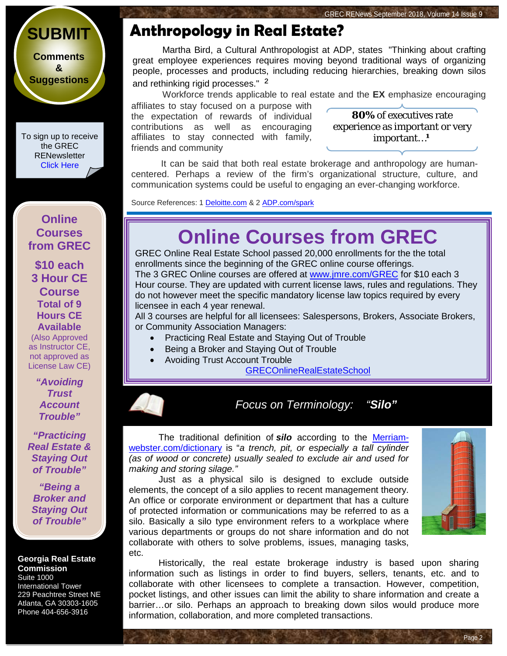## **[SUBMIT](http://www.jmre.com/grecrenewscomments2014.htm)**

**[Comments](http://www.jmre.com/grecrenewscomments2014.htm) [&](http://www.jmre.com/grecrenewscomments2014.htm) [Suggestions](http://www.jmre.com/grecrenewscomments2014.htm)**

To sign up to receive the GREC **RENewsletter** [Click Here](https://www.grec.state.ga.us/about/subscribe.html)

### **Online Courses from GREC**

**[\\$10 each](http://www.jmre.com/grec) [3 Hour CE](http://www.jmre.com/grec)  [Course](http://www.jmre.com/grec) [Total of 9](http://www.jmre.com/grec)  [Hours CE](http://www.jmre.com/grec)  [Available](http://www.jmre.com/grec)** [\(Also Approved](http://www.jmre.com/grec)  [as Instructor CE,](http://www.jmre.com/grec)  [not approved as](http://www.jmre.com/grec)  [License Law CE\)](http://www.jmre.com/grec)

> *["Avoiding](http://www.jmre.com/grec)  [Trust](http://www.jmre.com/grec)  [Account](http://www.jmre.com/grec)  [Trouble"](http://www.jmre.com/grec)*

*["Practicing](http://www.jmre.com/grec)  [Real Estate &](http://www.jmre.com/grec)  [Staying Out](http://www.jmre.com/grec)  [of Trouble"](http://www.jmre.com/grec)*

*["Being a](http://www.jmre.com/grec)  [Broker and](http://www.jmre.com/grec)  [Staying Out](http://www.jmre.com/grec)  [of Trouble"](http://www.jmre.com/grec)*

#### **Georgia Real Estate Commission** Suite 1000

International Tower 229 Peachtree Street NE Atlanta, GA 30303-1605 Phone 404-656-3916

### **Anthropology in Real Estate?**

Martha Bird, a Cultural Anthropologist at ADP, states "Thinking about crafting great employee experiences requires moving beyond traditional ways of organizing people, processes and products, including reducing hierarchies, breaking down silos and rethinking rigid processes." <sup>2</sup>

Workforce trends applicable to real estate and the **EX** emphasize encouraging affiliates to stay focused on a purpose with

the expectation of rewards of individual contributions as well as encouraging affiliates to stay connected with family, friends and community

**80%** of executives rate experience as important or very important...<sup>1</sup>

It can be said that both real estate brokerage and anthropology are humancentered. Perhaps a review of the firm's organizational structure, culture, and communication systems could be useful to engaging an ever-changing workforce.

Source References: 1 [Deloitte.com](https://www2.deloitte.com/insights/us/en/focus/human-capital-trends/2017/improving-the-employee-experience-culture-engagement.html) & 2 [ADP.com/spark](https://explore.adp.com/spark-elq/the-employee-experience-324NU-2543B4.html)

## **Online Courses from GREC**

GREC Online Real Estate School passed 20,000 enrollments for the the total enrollments since the beginning of the GREC online course offerings. The 3 GREC Online courses are offered at [www.jmre.com/GREC](http://www.jmre.com/GREC) for \$10 each 3 Hour course. They are updated with current license laws, rules and regulations. They do not however meet the specific mandatory license law topics required by every licensee in each 4 year renewal.

All 3 courses are helpful for all licensees: Salespersons, Brokers, Associate Brokers, or Community Association Managers:

- Practicing Real Estate and Staying Out of Trouble
- Being a Broker and Staying Out of Trouble
- Avoiding Trust Account Trouble

[GRECOnlineRealEstateSchool](http://www.jmre.com/grec)

*Focus on Terminology: "Silo"*

The traditional definition of *silo* according to the [Merriam](https://www.merriam-webster.com/dictionary/silo?utm_campaign=sd&utm_medium=serp&utm_source=jsonld)[webster.com/dictionary](https://www.merriam-webster.com/dictionary/silo?utm_campaign=sd&utm_medium=serp&utm_source=jsonld) is "*a trench, pit, or especially a tall cylinder (as of wood or concrete) usually sealed to exclude air and used for making and storing silage."*

Just as a physical silo is designed to exclude outside elements, the concept of a silo applies to recent management theory. An office or corporate environment or department that has a culture of protected information or communications may be referred to as a silo. Basically a silo type environment refers to a workplace where various departments or groups do not share information and do not collaborate with others to solve problems, issues, managing tasks, etc.



Page 2

Historically, the real estate brokerage industry is based upon sharing information such as listings in order to find buyers, sellers, tenants, etc. and to collaborate with other licensees to complete a transaction. However, competition, pocket listings, and other issues can limit the ability to share information and create a barrier…or silo. Perhaps an approach to breaking down silos would produce more information, collaboration, and more completed transactions.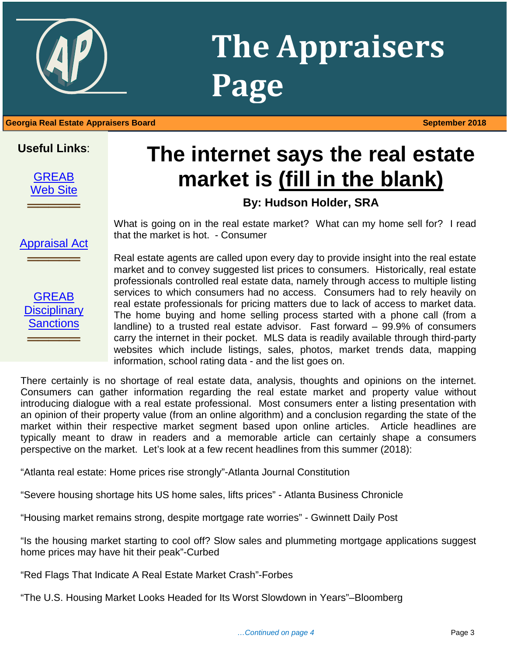

## **The Appraisers Page**

### 1 **Georgia Real Estate Appraisers Board September 2018**

### **Useful Links**:



## **The internet says the real estate market is (fill in the blank)**

### **By: Hudson Holder, SRA**

What is going on in the real estate market? What can my home sell for? I read that the market is hot. - Consumer

**GREAB Disciplinary [Sanctions](http://www.grec.state.ga.us/about/apprsanctions.html)** 

**═════**

[Appraisal Act](http://www.grec.state.ga.us/about/appraisersact.html)

**═════**

Real estate agents are called upon every day to provide insight into the real estate market and to convey suggested list prices to consumers. Historically, real estate professionals controlled real estate data, namely through access to multiple listing services to which consumers had no access. Consumers had to rely heavily on real estate professionals for pricing matters due to lack of access to market data. The home buying and home selling process started with a phone call (from a landline) to a trusted real estate advisor. Fast forward – 99.9% of consumers carry the internet in their pocket. MLS data is readily available through third-party websites which include listings, sales, photos, market trends data, mapping information, school rating data - and the list goes on.

There certainly is no shortage of real estate data, analysis, thoughts and opinions on the internet. Consumers can gather information regarding the real estate market and property value without introducing dialogue with a real estate professional. Most consumers enter a listing presentation with an opinion of their property value (from an online algorithm) and a conclusion regarding the state of the market within their respective market segment based upon online articles. Article headlines are typically meant to draw in readers and a memorable article can certainly shape a consumers perspective on the market. Let's look at a few recent headlines from this summer (2018):

"Atlanta real estate: Home prices rise strongly"-Atlanta Journal Constitution

"Severe housing shortage hits US home sales, lifts prices" - Atlanta Business Chronicle

"Housing market remains strong, despite mortgage rate worries" - Gwinnett Daily Post

"Is the housing market starting to cool off? Slow sales and plummeting mortgage applications suggest home prices may have hit their peak"-Curbed

"Red Flags That Indicate A Real Estate Market Crash"-Forbes

"The U.S. Housing Market Looks Headed for Its Worst Slowdown in Years"–Bloomberg